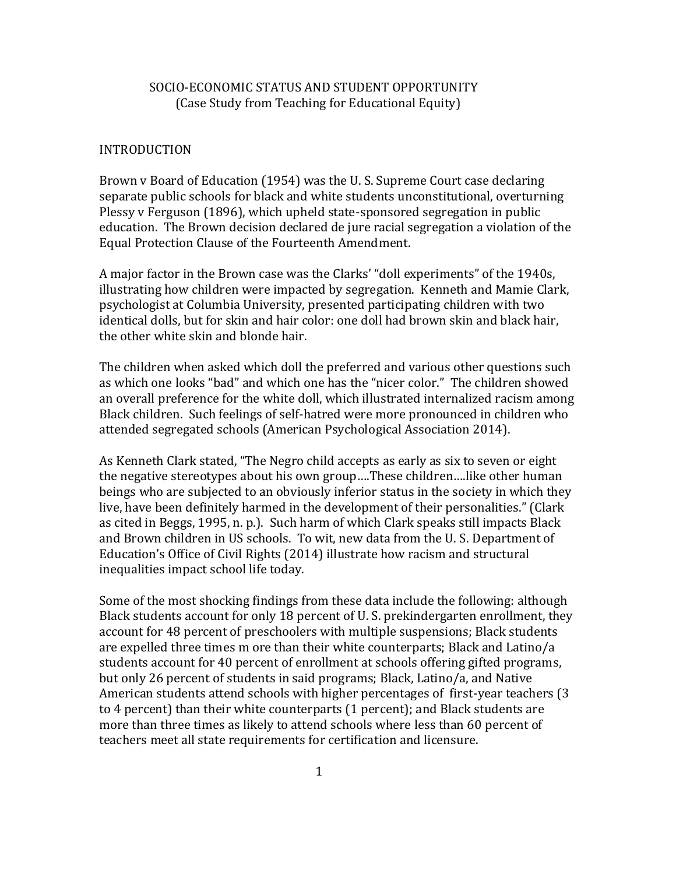# SOCIO-ECONOMIC STATUS AND STUDENT OPPORTUNITY (Case Study from Teaching for Educational Equity)

#### INTRODUCTION

Brown v Board of Education (1954) was the U. S. Supreme Court case declaring separate public schools for black and white students unconstitutional, overturning Plessy v Ferguson (1896), which upheld state-sponsored segregation in public education. The Brown decision declared de jure racial segregation a violation of the Equal Protection Clause of the Fourteenth Amendment.

A major factor in the Brown case was the Clarks' "doll experiments" of the 1940s, illustrating how children were impacted by segregation. Kenneth and Mamie Clark, psychologist at Columbia University, presented participating children with two identical dolls, but for skin and hair color: one doll had brown skin and black hair, the other white skin and blonde hair.

The children when asked which doll the preferred and various other questions such as which one looks "bad" and which one has the "nicer color." The children showed an overall preference for the white doll, which illustrated internalized racism among Black children. Such feelings of self-hatred were more pronounced in children who attended segregated schools (American Psychological Association 2014).

As Kenneth Clark stated, "The Negro child accepts as early as six to seven or eight the negative stereotypes about his own group….These children….like other human beings who are subjected to an obviously inferior status in the society in which they live, have been definitely harmed in the development of their personalities." (Clark as cited in Beggs, 1995, n. p.). Such harm of which Clark speaks still impacts Black and Brown children in US schools. To wit, new data from the U. S. Department of Education's Office of Civil Rights (2014) illustrate how racism and structural inequalities impact school life today.

Some of the most shocking findings from these data include the following: although Black students account for only 18 percent of U. S. prekindergarten enrollment, they account for 48 percent of preschoolers with multiple suspensions; Black students are expelled three times m ore than their white counterparts; Black and Latino/a students account for 40 percent of enrollment at schools offering gifted programs, but only 26 percent of students in said programs; Black, Latino/a, and Native American students attend schools with higher percentages of first-year teachers (3 to 4 percent) than their white counterparts (1 percent); and Black students are more than three times as likely to attend schools where less than 60 percent of teachers meet all state requirements for certification and licensure.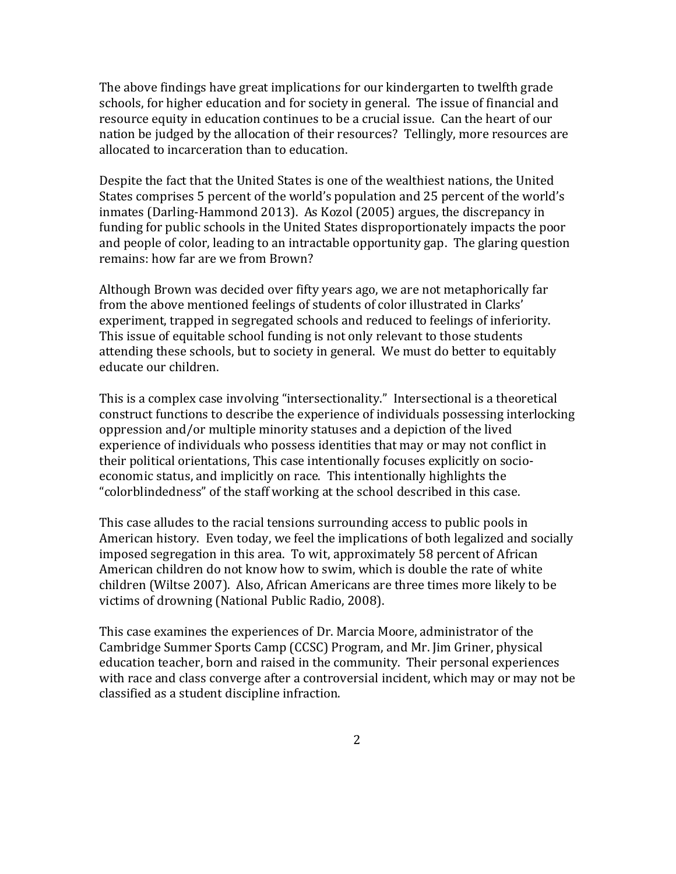The above findings have great implications for our kindergarten to twelfth grade schools, for higher education and for society in general. The issue of financial and resource equity in education continues to be a crucial issue. Can the heart of our nation be judged by the allocation of their resources? Tellingly, more resources are allocated to incarceration than to education.

Despite the fact that the United States is one of the wealthiest nations, the United States comprises 5 percent of the world's population and 25 percent of the world's inmates (Darling-Hammond 2013). As Kozol (2005) argues, the discrepancy in funding for public schools in the United States disproportionately impacts the poor and people of color, leading to an intractable opportunity gap. The glaring question remains: how far are we from Brown?

Although Brown was decided over fifty years ago, we are not metaphorically far from the above mentioned feelings of students of color illustrated in Clarks' experiment, trapped in segregated schools and reduced to feelings of inferiority. This issue of equitable school funding is not only relevant to those students attending these schools, but to society in general. We must do better to equitably educate our children.

This is a complex case involving "intersectionality." Intersectional is a theoretical construct functions to describe the experience of individuals possessing interlocking oppression and/or multiple minority statuses and a depiction of the lived experience of individuals who possess identities that may or may not conflict in their political orientations, This case intentionally focuses explicitly on socioeconomic status, and implicitly on race. This intentionally highlights the "colorblindedness" of the staff working at the school described in this case.

This case alludes to the racial tensions surrounding access to public pools in American history. Even today, we feel the implications of both legalized and socially imposed segregation in this area. To wit, approximately 58 percent of African American children do not know how to swim, which is double the rate of white children (Wiltse 2007). Also, African Americans are three times more likely to be victims of drowning (National Public Radio, 2008).

This case examines the experiences of Dr. Marcia Moore, administrator of the Cambridge Summer Sports Camp (CCSC) Program, and Mr. Jim Griner, physical education teacher, born and raised in the community. Their personal experiences with race and class converge after a controversial incident, which may or may not be classified as a student discipline infraction.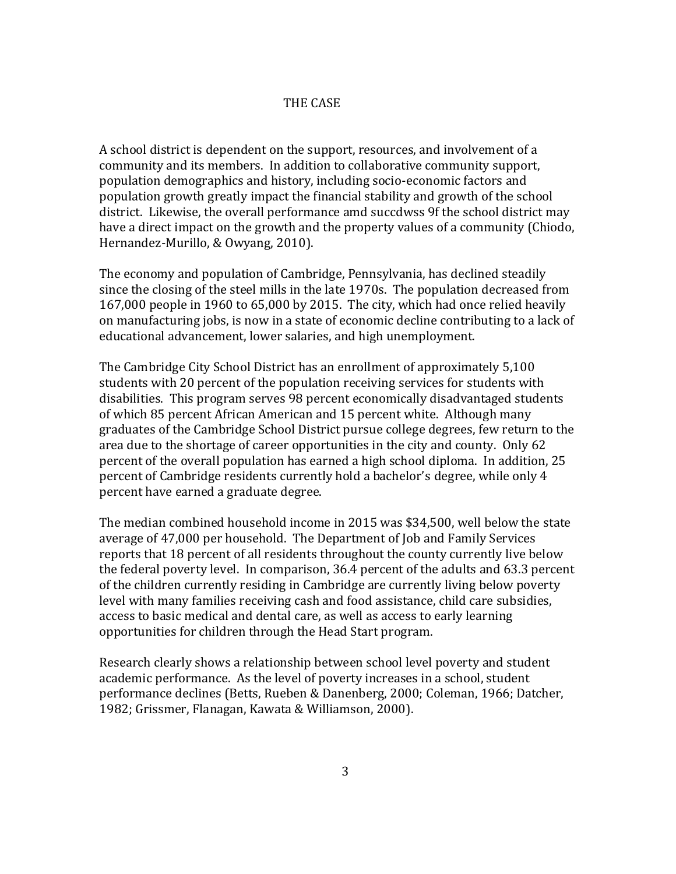## THE CASE

A school district is dependent on the support, resources, and involvement of a community and its members. In addition to collaborative community support, population demographics and history, including socio-economic factors and population growth greatly impact the financial stability and growth of the school district. Likewise, the overall performance amd succdwss 9f the school district may have a direct impact on the growth and the property values of a community (Chiodo, Hernandez-Murillo, & Owyang, 2010).

The economy and population of Cambridge, Pennsylvania, has declined steadily since the closing of the steel mills in the late 1970s. The population decreased from 167,000 people in 1960 to 65,000 by 2015. The city, which had once relied heavily on manufacturing jobs, is now in a state of economic decline contributing to a lack of educational advancement, lower salaries, and high unemployment.

The Cambridge City School District has an enrollment of approximately 5,100 students with 20 percent of the population receiving services for students with disabilities. This program serves 98 percent economically disadvantaged students of which 85 percent African American and 15 percent white. Although many graduates of the Cambridge School District pursue college degrees, few return to the area due to the shortage of career opportunities in the city and county. Only 62 percent of the overall population has earned a high school diploma. In addition, 25 percent of Cambridge residents currently hold a bachelor's degree, while only 4 percent have earned a graduate degree.

The median combined household income in 2015 was \$34,500, well below the state average of 47,000 per household. The Department of Job and Family Services reports that 18 percent of all residents throughout the county currently live below the federal poverty level. In comparison, 36.4 percent of the adults and 63.3 percent of the children currently residing in Cambridge are currently living below poverty level with many families receiving cash and food assistance, child care subsidies, access to basic medical and dental care, as well as access to early learning opportunities for children through the Head Start program.

Research clearly shows a relationship between school level poverty and student academic performance. As the level of poverty increases in a school, student performance declines (Betts, Rueben & Danenberg, 2000; Coleman, 1966; Datcher, 1982; Grissmer, Flanagan, Kawata & Williamson, 2000).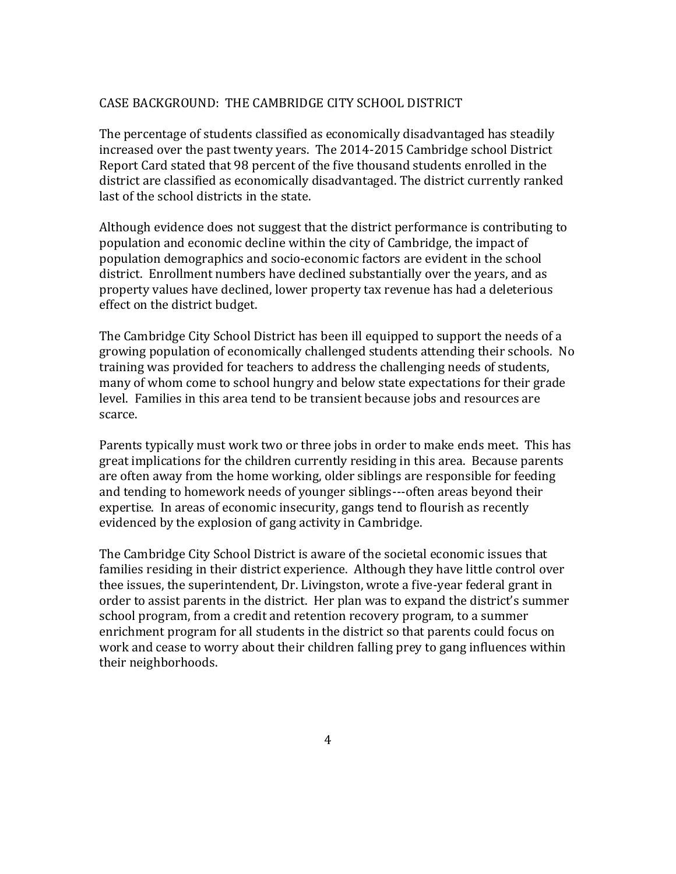### CASE BACKGROUND: THE CAMBRIDGE CITY SCHOOL DISTRICT

The percentage of students classified as economically disadvantaged has steadily increased over the past twenty years. The 2014-2015 Cambridge school District Report Card stated that 98 percent of the five thousand students enrolled in the district are classified as economically disadvantaged. The district currently ranked last of the school districts in the state.

Although evidence does not suggest that the district performance is contributing to population and economic decline within the city of Cambridge, the impact of population demographics and socio-economic factors are evident in the school district. Enrollment numbers have declined substantially over the years, and as property values have declined, lower property tax revenue has had a deleterious effect on the district budget.

The Cambridge City School District has been ill equipped to support the needs of a growing population of economically challenged students attending their schools. No training was provided for teachers to address the challenging needs of students, many of whom come to school hungry and below state expectations for their grade level. Families in this area tend to be transient because jobs and resources are scarce.

Parents typically must work two or three jobs in order to make ends meet. This has great implications for the children currently residing in this area. Because parents are often away from the home working, older siblings are responsible for feeding and tending to homework needs of younger siblings---often areas beyond their expertise. In areas of economic insecurity, gangs tend to flourish as recently evidenced by the explosion of gang activity in Cambridge.

The Cambridge City School District is aware of the societal economic issues that families residing in their district experience. Although they have little control over thee issues, the superintendent, Dr. Livingston, wrote a five-year federal grant in order to assist parents in the district. Her plan was to expand the district's summer school program, from a credit and retention recovery program, to a summer enrichment program for all students in the district so that parents could focus on work and cease to worry about their children falling prey to gang influences within their neighborhoods.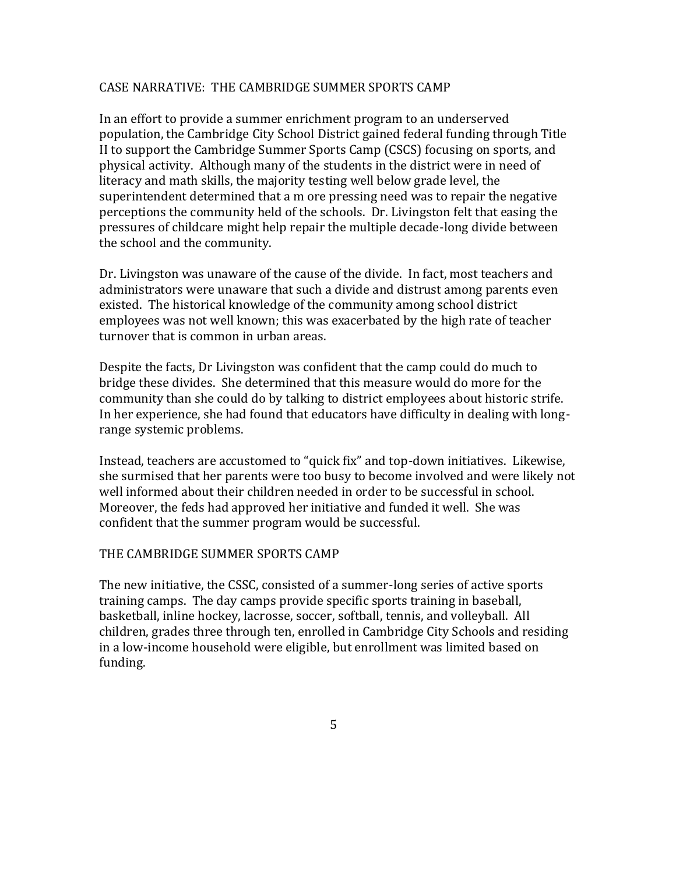### CASE NARRATIVE: THE CAMBRIDGE SUMMER SPORTS CAMP

In an effort to provide a summer enrichment program to an underserved population, the Cambridge City School District gained federal funding through Title II to support the Cambridge Summer Sports Camp (CSCS) focusing on sports, and physical activity. Although many of the students in the district were in need of literacy and math skills, the majority testing well below grade level, the superintendent determined that a m ore pressing need was to repair the negative perceptions the community held of the schools. Dr. Livingston felt that easing the pressures of childcare might help repair the multiple decade-long divide between the school and the community.

Dr. Livingston was unaware of the cause of the divide. In fact, most teachers and administrators were unaware that such a divide and distrust among parents even existed. The historical knowledge of the community among school district employees was not well known; this was exacerbated by the high rate of teacher turnover that is common in urban areas.

Despite the facts, Dr Livingston was confident that the camp could do much to bridge these divides. She determined that this measure would do more for the community than she could do by talking to district employees about historic strife. In her experience, she had found that educators have difficulty in dealing with longrange systemic problems.

Instead, teachers are accustomed to "quick fix" and top-down initiatives. Likewise, she surmised that her parents were too busy to become involved and were likely not well informed about their children needed in order to be successful in school. Moreover, the feds had approved her initiative and funded it well. She was confident that the summer program would be successful.

### THE CAMBRIDGE SUMMER SPORTS CAMP

The new initiative, the CSSC, consisted of a summer-long series of active sports training camps. The day camps provide specific sports training in baseball, basketball, inline hockey, lacrosse, soccer, softball, tennis, and volleyball. All children, grades three through ten, enrolled in Cambridge City Schools and residing in a low-income household were eligible, but enrollment was limited based on funding.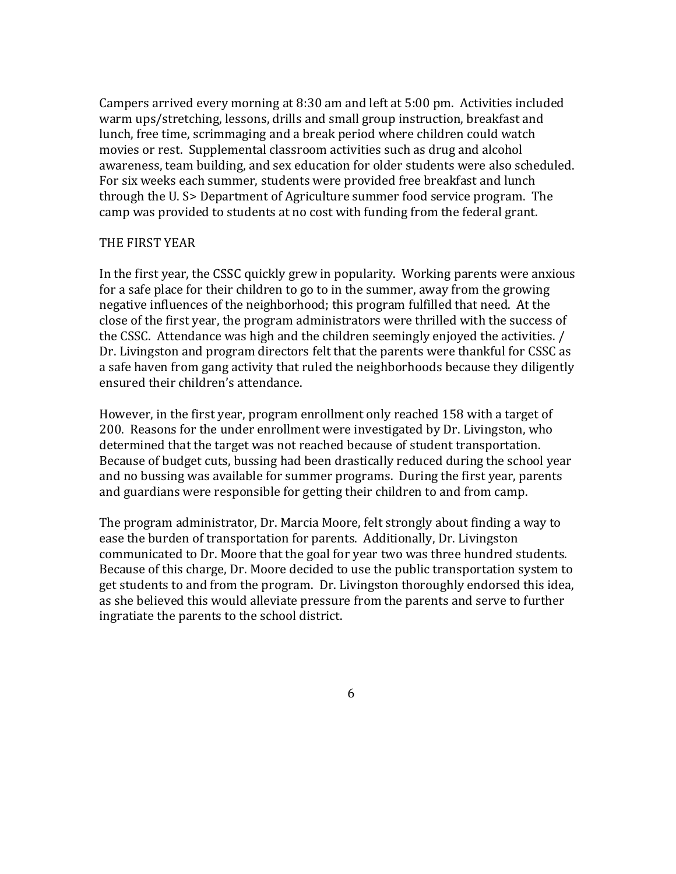Campers arrived every morning at 8:30 am and left at 5:00 pm. Activities included warm ups/stretching, lessons, drills and small group instruction, breakfast and lunch, free time, scrimmaging and a break period where children could watch movies or rest. Supplemental classroom activities such as drug and alcohol awareness, team building, and sex education for older students were also scheduled. For six weeks each summer, students were provided free breakfast and lunch through the U. S> Department of Agriculture summer food service program. The camp was provided to students at no cost with funding from the federal grant.

### THE FIRST YEAR

In the first year, the CSSC quickly grew in popularity. Working parents were anxious for a safe place for their children to go to in the summer, away from the growing negative influences of the neighborhood; this program fulfilled that need. At the close of the first year, the program administrators were thrilled with the success of the CSSC. Attendance was high and the children seemingly enjoyed the activities. / Dr. Livingston and program directors felt that the parents were thankful for CSSC as a safe haven from gang activity that ruled the neighborhoods because they diligently ensured their children's attendance.

However, in the first year, program enrollment only reached 158 with a target of 200. Reasons for the under enrollment were investigated by Dr. Livingston, who determined that the target was not reached because of student transportation. Because of budget cuts, bussing had been drastically reduced during the school year and no bussing was available for summer programs. During the first year, parents and guardians were responsible for getting their children to and from camp.

The program administrator, Dr. Marcia Moore, felt strongly about finding a way to ease the burden of transportation for parents. Additionally, Dr. Livingston communicated to Dr. Moore that the goal for year two was three hundred students. Because of this charge, Dr. Moore decided to use the public transportation system to get students to and from the program. Dr. Livingston thoroughly endorsed this idea, as she believed this would alleviate pressure from the parents and serve to further ingratiate the parents to the school district.

 $\sim$  6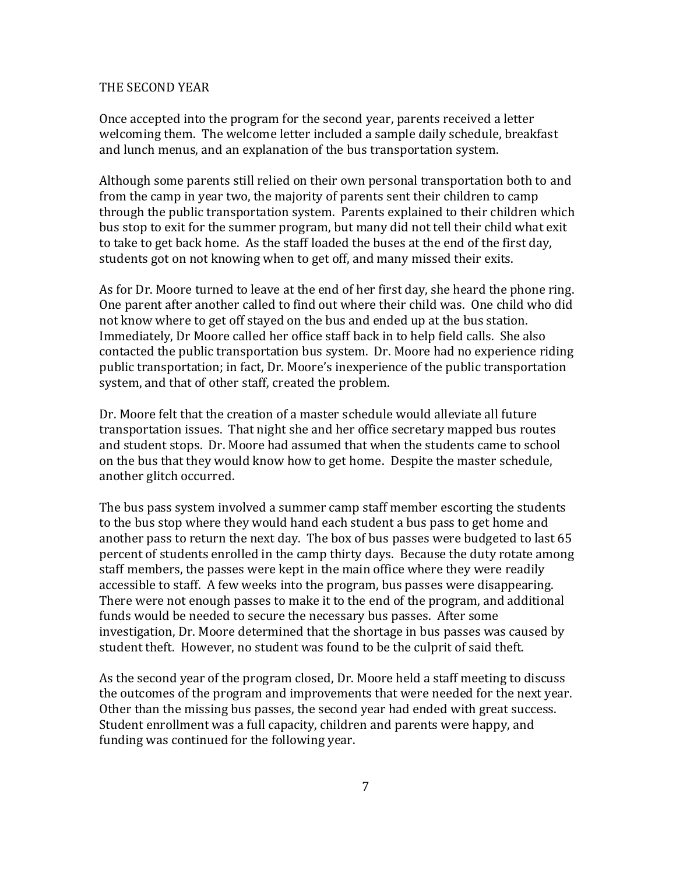#### THE SECOND YEAR

Once accepted into the program for the second year, parents received a letter welcoming them. The welcome letter included a sample daily schedule, breakfast and lunch menus, and an explanation of the bus transportation system.

Although some parents still relied on their own personal transportation both to and from the camp in year two, the majority of parents sent their children to camp through the public transportation system. Parents explained to their children which bus stop to exit for the summer program, but many did not tell their child what exit to take to get back home. As the staff loaded the buses at the end of the first day, students got on not knowing when to get off, and many missed their exits.

As for Dr. Moore turned to leave at the end of her first day, she heard the phone ring. One parent after another called to find out where their child was. One child who did not know where to get off stayed on the bus and ended up at the bus station. Immediately, Dr Moore called her office staff back in to help field calls. She also contacted the public transportation bus system. Dr. Moore had no experience riding public transportation; in fact, Dr. Moore's inexperience of the public transportation system, and that of other staff, created the problem.

Dr. Moore felt that the creation of a master schedule would alleviate all future transportation issues. That night she and her office secretary mapped bus routes and student stops. Dr. Moore had assumed that when the students came to school on the bus that they would know how to get home. Despite the master schedule, another glitch occurred.

The bus pass system involved a summer camp staff member escorting the students to the bus stop where they would hand each student a bus pass to get home and another pass to return the next day. The box of bus passes were budgeted to last 65 percent of students enrolled in the camp thirty days. Because the duty rotate among staff members, the passes were kept in the main office where they were readily accessible to staff. A few weeks into the program, bus passes were disappearing. There were not enough passes to make it to the end of the program, and additional funds would be needed to secure the necessary bus passes. After some investigation, Dr. Moore determined that the shortage in bus passes was caused by student theft. However, no student was found to be the culprit of said theft.

As the second year of the program closed, Dr. Moore held a staff meeting to discuss the outcomes of the program and improvements that were needed for the next year. Other than the missing bus passes, the second year had ended with great success. Student enrollment was a full capacity, children and parents were happy, and funding was continued for the following year.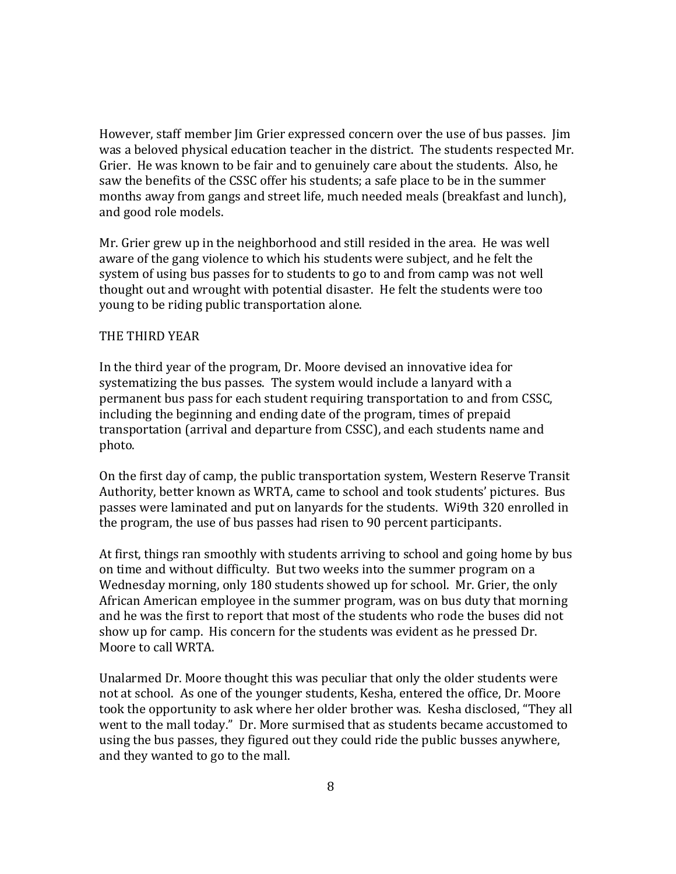However, staff member Jim Grier expressed concern over the use of bus passes. Jim was a beloved physical education teacher in the district. The students respected Mr. Grier. He was known to be fair and to genuinely care about the students. Also, he saw the benefits of the CSSC offer his students; a safe place to be in the summer months away from gangs and street life, much needed meals (breakfast and lunch), and good role models.

Mr. Grier grew up in the neighborhood and still resided in the area. He was well aware of the gang violence to which his students were subject, and he felt the system of using bus passes for to students to go to and from camp was not well thought out and wrought with potential disaster. He felt the students were too young to be riding public transportation alone.

#### THE THIRD YEAR

In the third year of the program, Dr. Moore devised an innovative idea for systematizing the bus passes. The system would include a lanyard with a permanent bus pass for each student requiring transportation to and from CSSC, including the beginning and ending date of the program, times of prepaid transportation (arrival and departure from CSSC), and each students name and photo.

On the first day of camp, the public transportation system, Western Reserve Transit Authority, better known as WRTA, came to school and took students' pictures. Bus passes were laminated and put on lanyards for the students. Wi9th 320 enrolled in the program, the use of bus passes had risen to 90 percent participants.

At first, things ran smoothly with students arriving to school and going home by bus on time and without difficulty. But two weeks into the summer program on a Wednesday morning, only 180 students showed up for school. Mr. Grier, the only African American employee in the summer program, was on bus duty that morning and he was the first to report that most of the students who rode the buses did not show up for camp. His concern for the students was evident as he pressed Dr. Moore to call WRTA.

Unalarmed Dr. Moore thought this was peculiar that only the older students were not at school. As one of the younger students, Kesha, entered the office, Dr. Moore took the opportunity to ask where her older brother was. Kesha disclosed, "They all went to the mall today." Dr. More surmised that as students became accustomed to using the bus passes, they figured out they could ride the public busses anywhere, and they wanted to go to the mall.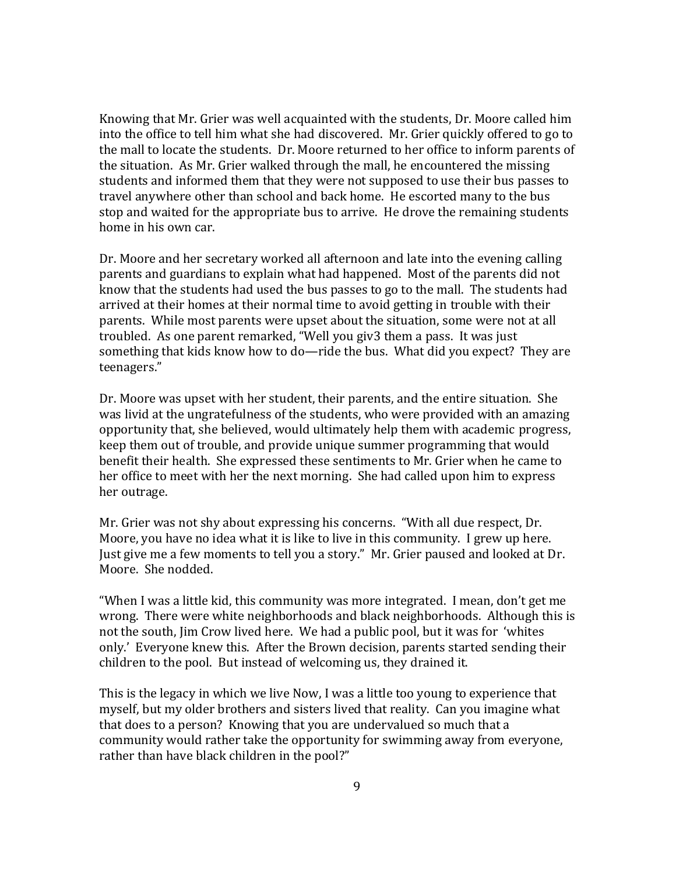Knowing that Mr. Grier was well acquainted with the students, Dr. Moore called him into the office to tell him what she had discovered. Mr. Grier quickly offered to go to the mall to locate the students. Dr. Moore returned to her office to inform parents of the situation. As Mr. Grier walked through the mall, he encountered the missing students and informed them that they were not supposed to use their bus passes to travel anywhere other than school and back home. He escorted many to the bus stop and waited for the appropriate bus to arrive. He drove the remaining students home in his own car.

Dr. Moore and her secretary worked all afternoon and late into the evening calling parents and guardians to explain what had happened. Most of the parents did not know that the students had used the bus passes to go to the mall. The students had arrived at their homes at their normal time to avoid getting in trouble with their parents. While most parents were upset about the situation, some were not at all troubled. As one parent remarked, "Well you giv3 them a pass. It was just something that kids know how to do—ride the bus. What did you expect? They are teenagers."

Dr. Moore was upset with her student, their parents, and the entire situation. She was livid at the ungratefulness of the students, who were provided with an amazing opportunity that, she believed, would ultimately help them with academic progress, keep them out of trouble, and provide unique summer programming that would benefit their health. She expressed these sentiments to Mr. Grier when he came to her office to meet with her the next morning. She had called upon him to express her outrage.

Mr. Grier was not shy about expressing his concerns. "With all due respect, Dr. Moore, you have no idea what it is like to live in this community. I grew up here. Just give me a few moments to tell you a story." Mr. Grier paused and looked at Dr. Moore. She nodded.

"When I was a little kid, this community was more integrated. I mean, don't get me wrong. There were white neighborhoods and black neighborhoods. Although this is not the south, Jim Crow lived here. We had a public pool, but it was for 'whites only.' Everyone knew this. After the Brown decision, parents started sending their children to the pool. But instead of welcoming us, they drained it.

This is the legacy in which we live Now, I was a little too young to experience that myself, but my older brothers and sisters lived that reality. Can you imagine what that does to a person? Knowing that you are undervalued so much that a community would rather take the opportunity for swimming away from everyone, rather than have black children in the pool?"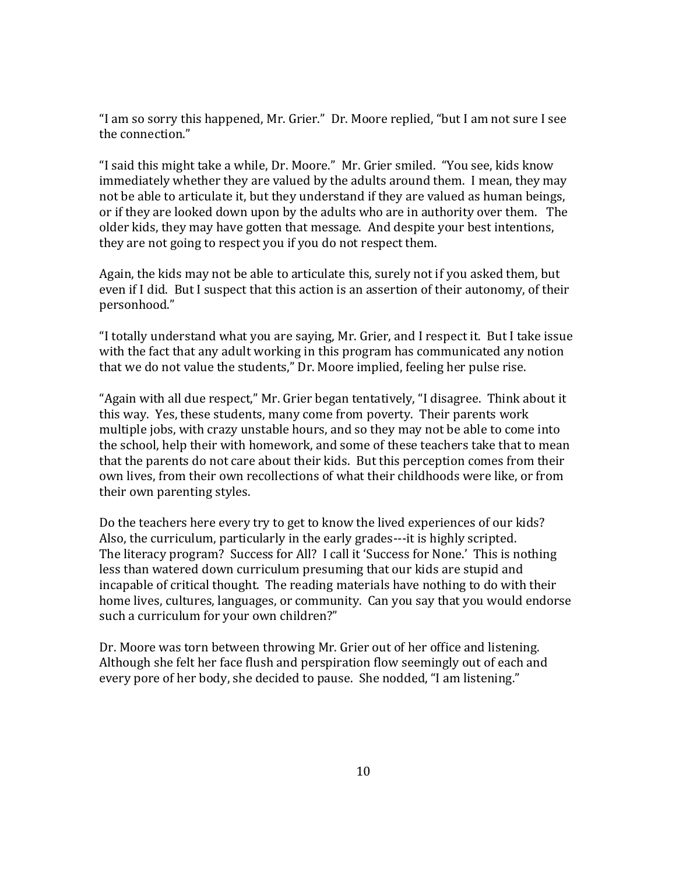"I am so sorry this happened, Mr. Grier." Dr. Moore replied, "but I am not sure I see the connection."

"I said this might take a while, Dr. Moore." Mr. Grier smiled. "You see, kids know immediately whether they are valued by the adults around them. I mean, they may not be able to articulate it, but they understand if they are valued as human beings, or if they are looked down upon by the adults who are in authority over them. The older kids, they may have gotten that message. And despite your best intentions, they are not going to respect you if you do not respect them.

Again, the kids may not be able to articulate this, surely not if you asked them, but even if I did. But I suspect that this action is an assertion of their autonomy, of their personhood."

"I totally understand what you are saying, Mr. Grier, and I respect it. But I take issue with the fact that any adult working in this program has communicated any notion that we do not value the students," Dr. Moore implied, feeling her pulse rise.

"Again with all due respect," Mr. Grier began tentatively, "I disagree. Think about it this way. Yes, these students, many come from poverty. Their parents work multiple jobs, with crazy unstable hours, and so they may not be able to come into the school, help their with homework, and some of these teachers take that to mean that the parents do not care about their kids. But this perception comes from their own lives, from their own recollections of what their childhoods were like, or from their own parenting styles.

Do the teachers here every try to get to know the lived experiences of our kids? Also, the curriculum, particularly in the early grades---it is highly scripted. The literacy program? Success for All? I call it 'Success for None.' This is nothing less than watered down curriculum presuming that our kids are stupid and incapable of critical thought. The reading materials have nothing to do with their home lives, cultures, languages, or community. Can you say that you would endorse such a curriculum for your own children?"

Dr. Moore was torn between throwing Mr. Grier out of her office and listening. Although she felt her face flush and perspiration flow seemingly out of each and every pore of her body, she decided to pause. She nodded, "I am listening."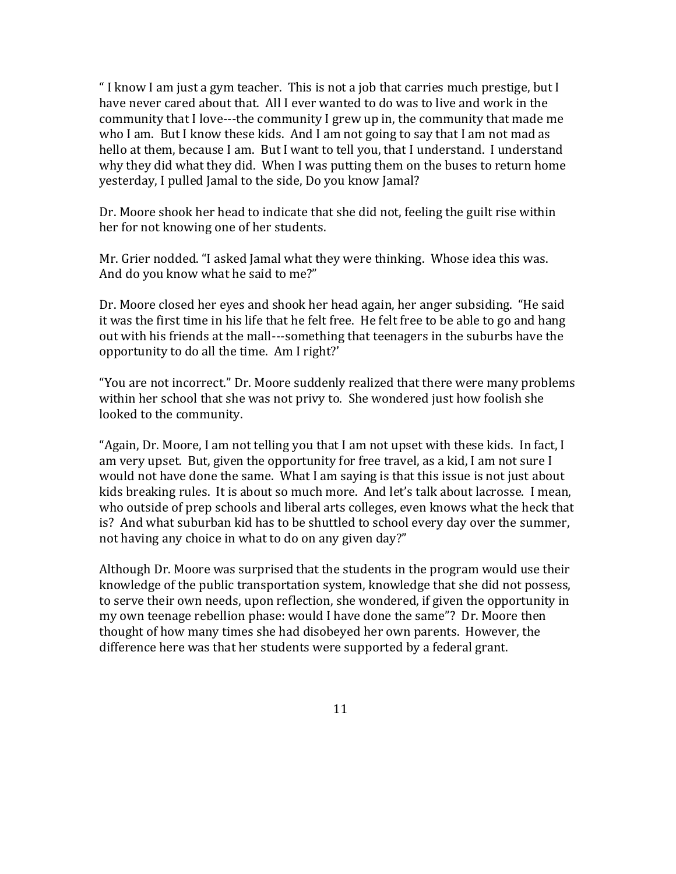" I know I am just a gym teacher. This is not a job that carries much prestige, but I have never cared about that. All I ever wanted to do was to live and work in the community that I love---the community I grew up in, the community that made me who I am. But I know these kids. And I am not going to say that I am not mad as hello at them, because I am. But I want to tell you, that I understand. I understand why they did what they did. When I was putting them on the buses to return home yesterday, I pulled Jamal to the side, Do you know Jamal?

Dr. Moore shook her head to indicate that she did not, feeling the guilt rise within her for not knowing one of her students.

Mr. Grier nodded. "I asked Jamal what they were thinking. Whose idea this was. And do you know what he said to me?"

Dr. Moore closed her eyes and shook her head again, her anger subsiding. "He said it was the first time in his life that he felt free. He felt free to be able to go and hang out with his friends at the mall---something that teenagers in the suburbs have the opportunity to do all the time. Am I right?'

"You are not incorrect." Dr. Moore suddenly realized that there were many problems within her school that she was not privy to. She wondered just how foolish she looked to the community.

"Again, Dr. Moore, I am not telling you that I am not upset with these kids. In fact, I am very upset. But, given the opportunity for free travel, as a kid, I am not sure I would not have done the same. What I am saying is that this issue is not just about kids breaking rules. It is about so much more. And let's talk about lacrosse. I mean, who outside of prep schools and liberal arts colleges, even knows what the heck that is? And what suburban kid has to be shuttled to school every day over the summer, not having any choice in what to do on any given day?"

Although Dr. Moore was surprised that the students in the program would use their knowledge of the public transportation system, knowledge that she did not possess, to serve their own needs, upon reflection, she wondered, if given the opportunity in my own teenage rebellion phase: would I have done the same"? Dr. Moore then thought of how many times she had disobeyed her own parents. However, the difference here was that her students were supported by a federal grant.